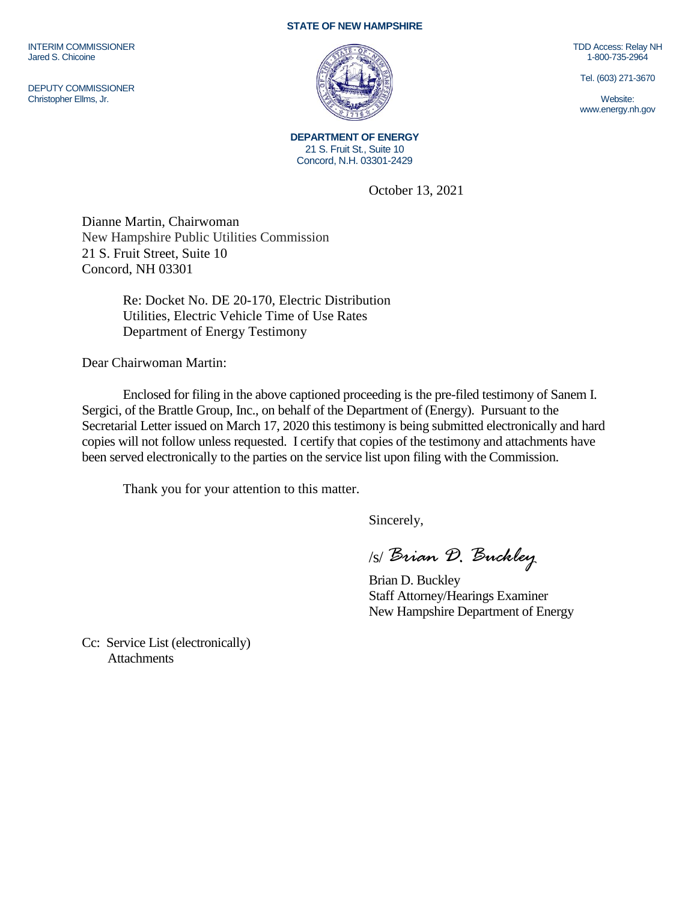INTERIM COMMISSIONER Jared S. Chicoine

DEPUTY COMMISSIONER Christopher Ellms, Jr.

## **STATE OF NEW HAMPSHIRE**



**DEPARTMENT OF ENERGY** 21 S. Fruit St., Suite 10 Concord, N.H. 03301-2429

October 13, 2021

Dianne Martin, Chairwoman New Hampshire Public Utilities Commission 21 S. Fruit Street, Suite 10 Concord, NH 03301

> Re: Docket No. DE 20-170, Electric Distribution Utilities, Electric Vehicle Time of Use Rates Department of Energy Testimony

Dear Chairwoman Martin:

Enclosed for filing in the above captioned proceeding is the pre-filed testimony of Sanem I. Sergici, of the Brattle Group, Inc., on behalf of the Department of (Energy). Pursuant to the Secretarial Letter issued on March 17, 2020 this testimony is being submitted electronically and hard copies will not follow unless requested. I certify that copies of the testimony and attachments have been served electronically to the parties on the service list upon filing with the Commission.

Thank you for your attention to this matter.

Sincerely,

/s/ *Brian D. Buckley*

Brian D. Buckley Staff Attorney/Hearings Examiner New Hampshire Department of Energy

Cc: Service List (electronically) **Attachments** 

TDD Access: Relay NH 1-800-735-2964

Tel. (603) 271-3670

Website: www.energy.nh.gov